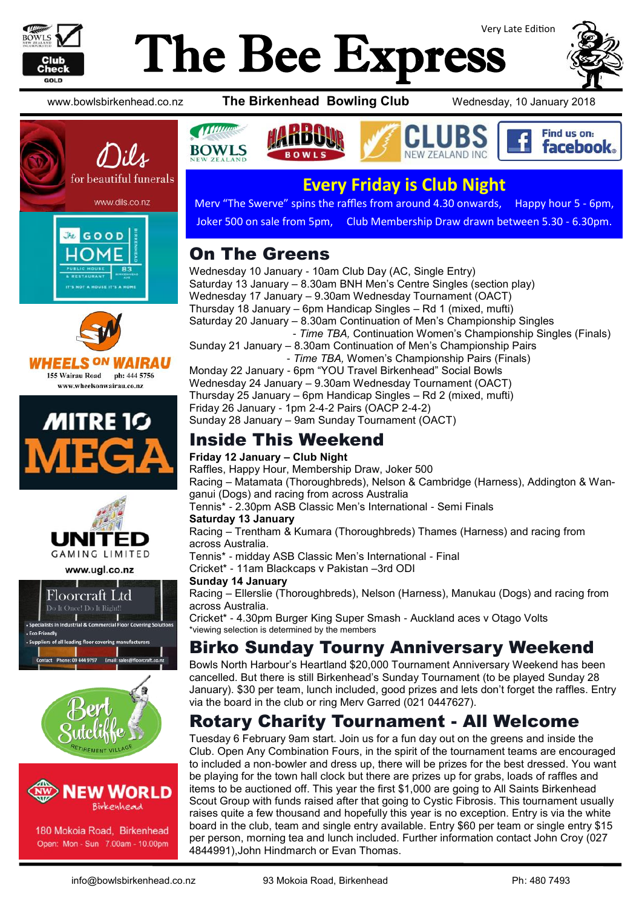

# Very Late Edition The Bee Express











www.ugl.co.nz







180 Mokoia Road, Birkenhead Open: Mon - Sun 7.00am - 10.00pm

www.bowlsbirkenhead.co.nz **The Birkenhead Bowling Club** Wednesday, 10 January 2018



## **Every Friday is Club Night**

Merv "The Swerve" spins the raffles from around 4.30 onwards, Happy hour 5 - 6pm, Joker 500 on sale from 5pm, Club Membership Draw drawn between 5.30 - 6.30pm.

## On The Greens

**Additions** 

Wednesday 10 January - 10am Club Day (AC, Single Entry) Saturday 13 January – 8.30am BNH Men's Centre Singles (section play) Wednesday 17 January – 9.30am Wednesday Tournament (OACT) Thursday 18 January – 6pm Handicap Singles – Rd 1 (mixed, mufti) Saturday 20 January – 8.30am Continuation of Men's Championship Singles - *Time TBA,* Continuation Women's Championship Singles (Finals) Sunday 21 January – 8.30am Continuation of Men's Championship Pairs - *Time TBA,* Women's Championship Pairs (Finals) Monday 22 January - 6pm "YOU Travel Birkenhead" Social Bowls Wednesday 24 January – 9.30am Wednesday Tournament (OACT) Thursday 25 January – 6pm Handicap Singles – Rd 2 (mixed, mufti) Friday 26 January - 1pm 2-4-2 Pairs (OACP 2-4-2)

Sunday 28 January – 9am Sunday Tournament (OACT)

## Inside This Weekend

#### **Friday 12 January – Club Night**

Raffles, Happy Hour, Membership Draw, Joker 500 Racing – Matamata (Thoroughbreds), Nelson & Cambridge (Harness), Addington & Wanganui (Dogs) and racing from across Australia Tennis\* - 2.30pm ASB Classic Men's International - Semi Finals **Saturday 13 January**  Racing – Trentham & Kumara (Thoroughbreds) Thames (Harness) and racing from across Australia. Tennis\* - midday ASB Classic Men's International - Final Cricket\* - 11am Blackcaps v Pakistan –3rd ODI **Sunday 14 January**  Racing – Ellerslie (Thoroughbreds), Nelson (Harness), Manukau (Dogs) and racing from across Australia.

Cricket\* - 4.30pm Burger King Super Smash - Auckland aces v Otago Volts \*viewing selection is determined by the members

### Birko Sunday Tourny Anniversary Weekend

Bowls North Harbour's Heartland \$20,000 Tournament Anniversary Weekend has been cancelled. But there is still Birkenhead's Sunday Tournament (to be played Sunday 28 January). \$30 per team, lunch included, good prizes and lets don't forget the raffles. Entry via the board in the club or ring Merv Garred (021 0447627).

### Rotary Charity Tournament - All Welcome

Tuesday 6 February 9am start. Join us for a fun day out on the greens and inside the Club. Open Any Combination Fours, in the spirit of the tournament teams are encouraged to included a non-bowler and dress up, there will be prizes for the best dressed. You want be playing for the town hall clock but there are prizes up for grabs, loads of raffles and items to be auctioned off. This year the first \$1,000 are going to All Saints Birkenhead Scout Group with funds raised after that going to Cystic Fibrosis. This tournament usually raises quite a few thousand and hopefully this year is no exception. Entry is via the white board in the club, team and single entry available. Entry \$60 per team or single entry \$15 per person, morning tea and lunch included. Further information contact John Croy (027 4844991),John Hindmarch or Evan Thomas.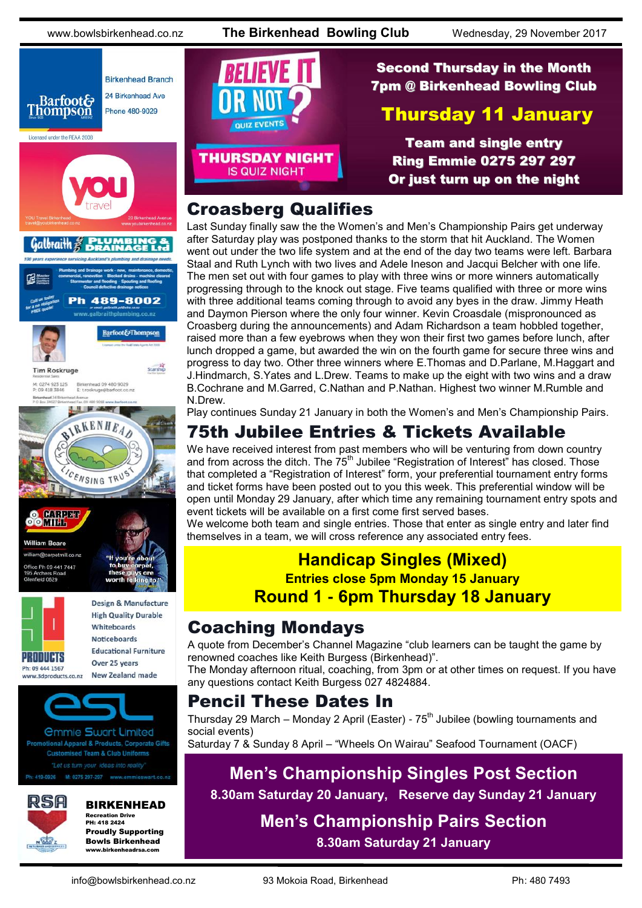www.bowlsbirkenhead.co.nz **The Birkenhead Bowling Club** Wednesday, 29 November 2017



**William Roare** @carpetmill.co.nz ce Ph 09:441 7447 Archers Re<br>field 0629



**High Quality Durable** Whiteboards **Noticeboards Educational Furniture** Over 25 years

Design & Manufacture

**New Zealand made** www.3dproducts.co.nz



*<u>Ommie Swart Limited</u>* otional Apparel & Products, Corporate Gifts **Customised Team & Club Uniforms** 

419-0926 M: 0275 297-297 www.emmieswart.co.na



#### BIRKENHEAD

Recreation Drive PH: 418 2424 Proudly Supporting Bowls Birkenhead www.birkenheadrsa.com



### Second Thursday in the Month 7pm @ Birkenhead Bowling Club

### Thursday 11 January

Team and single entry Ring Emmie 0275 297 297 Or just turn up on the night

#### Croasberg Qualifies

Last Sunday finally saw the the Women's and Men's Championship Pairs get underway after Saturday play was postponed thanks to the storm that hit Auckland. The Women went out under the two life system and at the end of the day two teams were left. Barbara Staal and Ruth Lynch with two lives and Adele Ineson and Jacqui Belcher with one life. The men set out with four games to play with three wins or more winners automatically progressing through to the knock out stage. Five teams qualified with three or more wins with three additional teams coming through to avoid any byes in the draw. Jimmy Heath and Daymon Pierson where the only four winner. Kevin Croasdale (mispronounced as Croasberg during the announcements) and Adam Richardson a team hobbled together, raised more than a few eyebrows when they won their first two games before lunch, after lunch dropped a game, but awarded the win on the fourth game for secure three wins and progress to day two. Other three winners where E.Thomas and D.Parlane, M.Haggart and J.Hindmarch, S.Yates and L.Drew. Teams to make up the eight with two wins and a draw B.Cochrane and M.Garred, C.Nathan and P.Nathan. Highest two winner M.Rumble and N.Drew.

Play continues Sunday 21 January in both the Women's and Men's Championship Pairs.

## 75th Jubilee Entries & Tickets Available

We have received interest from past members who will be venturing from down country and from across the ditch. The  $75<sup>th</sup>$  Jubilee "Registration of Interest" has closed. Those that completed a "Registration of Interest" form, your preferential tournament entry forms and ticket forms have been posted out to you this week. This preferential window will be open until Monday 29 January, after which time any remaining tournament entry spots and event tickets will be available on a first come first served bases.

We welcome both team and single entries. Those that enter as single entry and later find themselves in a team, we will cross reference any associated entry fees.

#### **Handicap Singles (Mixed) Entries close 5pm Monday 15 January**

**Round 1 - 6pm Thursday 18 January**

#### Coaching Mondays

A quote from December's Channel Magazine "club learners can be taught the game by renowned coaches like Keith Burgess (Birkenhead)".

The Monday afternoon ritual, coaching, from 3pm or at other times on request. If you have any questions contact Keith Burgess 027 4824884.

#### Pencil These Dates In

Thursday 29 March – Monday 2 April (Easter) -  $75<sup>th</sup>$  Jubilee (bowling tournaments and social events)

Saturday 7 & Sunday 8 April – "Wheels On Wairau" Seafood Tournament (OACF)

## **Men's Championship Singles Post Section**

**8.30am Saturday 20 January, Reserve day Sunday 21 January**

**Men's Championship Pairs Section 8.30am Saturday 21 January**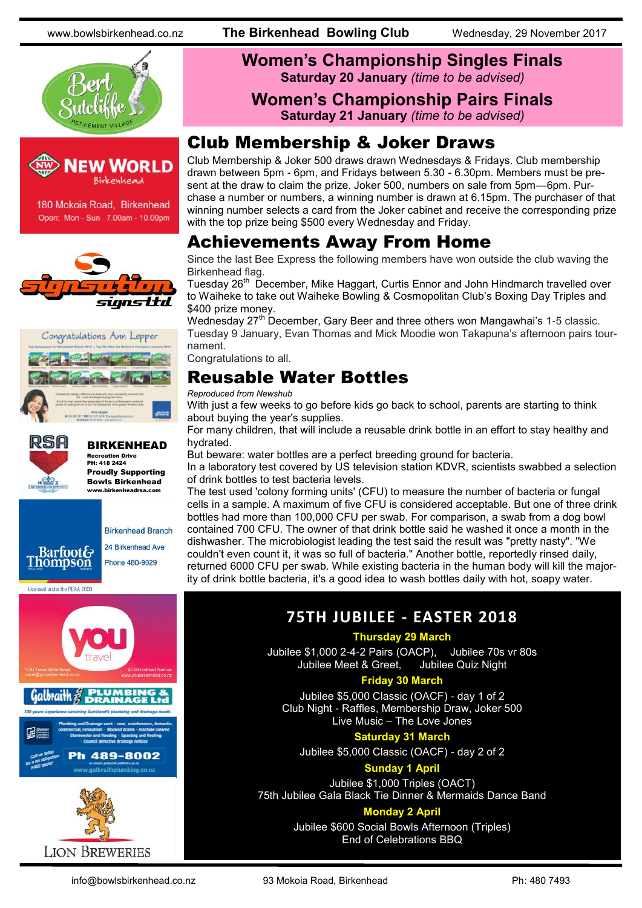www.bowlsbirkenhead.co.nz **The Birkenhead Bowling Club** Wednesday, 29 November 2017





180 Mokoia Road, Birkenhead Open: Mon - Sun 7.00am - 10.00pm







Galbraith

#### BIRKENHEAD Recreation Drive

PH: 418 2424 Proudly Supporting Bowls Birkenhead www.birkenheadrsa.com



#### **Women's Championship Singles Finals Saturday 20 January** *(time to be advised)*

#### **Women's Championship Pairs Finals Saturday 21 January** *(time to be advised)*

### Club Membership & Joker Draws

Club Membership & Joker 500 draws drawn Wednesdays & Fridays. Club membership drawn between 5pm - 6pm, and Fridays between 5.30 - 6.30pm. Members must be present at the draw to claim the prize. Joker 500, numbers on sale from 5pm—6pm. Purchase a number or numbers, a winning number is drawn at 6.15pm. The purchaser of that winning number selects a card from the Joker cabinet and receive the corresponding prize with the top prize being \$500 every Wednesday and Friday.

### Achievements Away From Home

Since the last Bee Express the following members have won outside the club waving the Birkenhead flag.

Tuesday 26<sup>th</sup> December, Mike Haggart, Curtis Ennor and John Hindmarch travelled over to Waiheke to take out Waiheke Bowling & Cosmopolitan Club's Boxing Day Triples and \$400 prize money.

Wednesday 27<sup>th</sup> December, Gary Beer and three others won Mangawhai's 1-5 classic. Tuesday 9 January, Evan Thomas and Mick Moodie won Takapuna's afternoon pairs tournament.

Congratulations to all.

#### Reusable Water Bottles

#### *Reproduced from Newshub*

With just a few weeks to go before kids go back to school, parents are starting to think about buying the year's supplies.

For many children, that will include a reusable drink bottle in an effort to stay healthy and hydrated.

But beware: water bottles are a perfect breeding ground for bacteria.

In a laboratory test covered by US television station KDVR, scientists swabbed a selection of drink bottles to test bacteria levels.

The test used 'colony forming units' (CFU) to measure the number of bacteria or fungal cells in a sample. A maximum of five CFU is considered acceptable. But one of three drink bottles had more than 100,000 CFU per swab. For comparison, a swab from a dog bowl contained 700 CFU. The owner of that drink bottle said he washed it once a month in the dishwasher. The microbiologist leading the test said the result was "pretty nasty". "We couldn't even count it, it was so full of bacteria." Another bottle, reportedly rinsed daily, returned 6000 CFU per swab. While existing bacteria in the human body will kill the majority of drink bottle bacteria, it's a good idea to wash bottles daily with hot, soapy water.

#### **75TH JUBILEE - EASTER 2018**

#### **Thursday 29 March**

Jubilee \$1,000 2-4-2 Pairs (OACP), Jubilee 70s vr 80s Jubilee Meet & Greet,

#### **Friday 30 March**

Jubilee \$5,000 Classic (OACF) - day 1 of 2 Club Night - Raffles, Membership Draw, Joker 500 Live Music – The Love Jones

#### **Saturday 31 March**

Jubilee \$5,000 Classic (OACF) - day 2 of 2

#### **Sunday 1 April**

Jubilee \$1,000 Triples (OACT) 75th Jubilee Gala Black Tie Dinner & Mermaids Dance Band

#### **Monday 2 April**

Jubilee \$600 Social Bowls Afternoon (Triples) End of Celebrations BBQ



h 489-8002